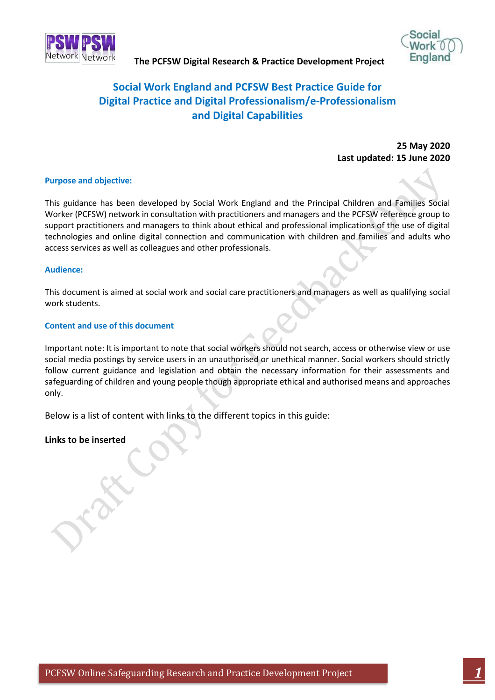



# **Social Work England and PCFSW Best Practice Guide for Digital Practice and Digital Professionalism/e-Professionalism and Digital Capabilities**

**25 May 2020 Last updated: 15 June 2020**

### **Purpose and objective:**

This guidance has been developed by Social Work England and the Principal Children and Families Social Worker (PCFSW) network in consultation with practitioners and managers and the PCFSW reference group to support practitioners and managers to think about ethical and professional implications of the use of digital technologies and online digital connection and communication with children and families and adults who access services as well as colleagues and other professionals.

#### **Audience:**

This document is aimed at social work and social care practitioners and managers as well as qualifying social work students.

#### **Content and use of this document**

Important note: It is important to note that social workers should not search, access or otherwise view or use social media postings by service users in an unauthorised or unethical manner. Social workers should strictly follow current guidance and legislation and obtain the necessary information for their assessments and safeguarding of children and young people though appropriate ethical and authorised means and approaches only.

Below is a list of content with links to the different topics in this guide:

### **Links to be inserted**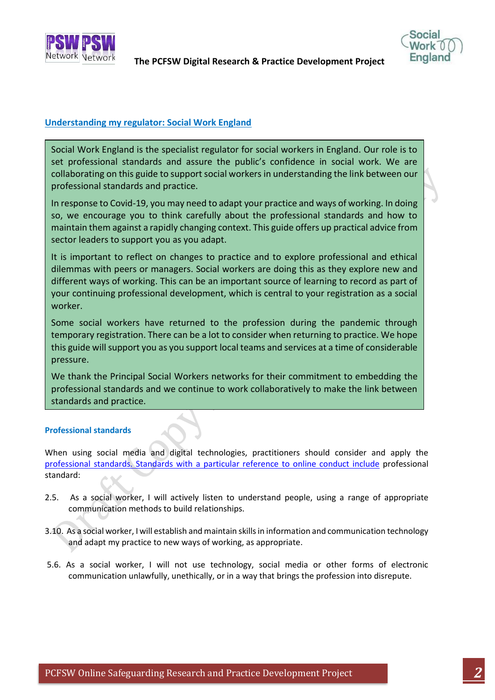



# **Understanding my regulator: Social Work England**

Social Work England is the specialist regulator for social workers in England. Our role is to set professional standards and assure the public's confidence in social work. We are collaborating on this guide to support social workers in understanding the link between our professional standards and practice.

In response to Covid-19, you may need to adapt your practice and ways of working. In doing so, we encourage you to think carefully about the professional standards and how to maintain them against a rapidly changing context. This guide offers up practical advice from sector leaders to support you as you adapt.

It is important to reflect on changes to practice and to explore professional and ethical dilemmas with peers or managers. Social workers are doing this as they explore new and different ways of working. This can be an important source of learning to record as part of your continuing professional development, which is central to your registration as a social worker.

Some social workers have returned to the profession during the pandemic through temporary registration. There can be a lot to consider when returning to practice. We hope this guide will support you as you support local teams and services at a time of considerable pressure.

We thank the Principal Social Workers networks for their commitment to embedding the professional standards and we continue to work collaboratively to make the link between standards and practice.

If you'd like to know more about Social Work England, you can find more on our website,

# **Professional standards**

When using social media and digital technologies, practitioners should consider and apply the [professional standards.](https://www.socialworkengland.org.uk/standards/professional-standards/) Standards with a particular reference to online conduct include professional standard:

- 2.5. As a social worker, I will actively listen to understand people, using a range of appropriate communication methods to build relationships.
- 3.10. As a social worker, I will establish and maintain skills in information and communication technology and adapt my practice to new ways of working, as appropriate.
- 5.6. As a social worker, I will not use technology, social media or other forms of electronic communication unlawfully, unethically, or in a way that brings the profession into disrepute.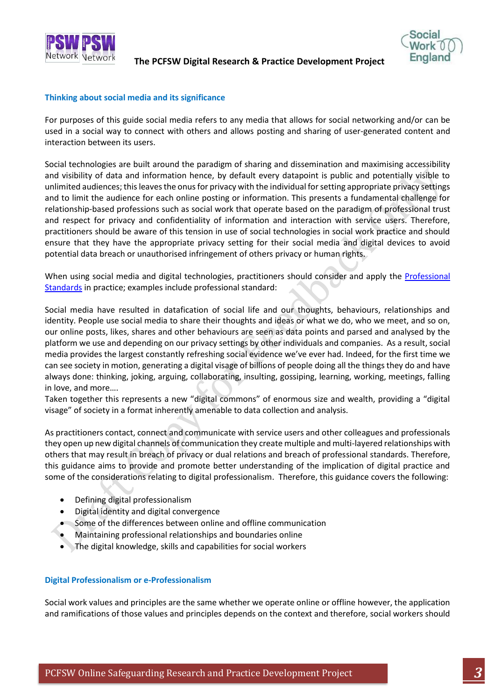



### **Thinking about social media and its significance**

For purposes of this guide social media refers to any media that allows for social networking and/or can be used in a social way to connect with others and allows posting and sharing of user-generated content and interaction between its users.

Social technologies are built around the paradigm of sharing and dissemination and maximising accessibility and visibility of data and information hence, by default every datapoint is public and potentially visible to unlimited audiences; this leaves the onus for privacy with the individual for setting appropriate privacy settings and to limit the audience for each online posting or information. This presents a fundamental challenge for relationship-based professions such as social work that operate based on the paradigm of professional trust and respect for privacy and confidentiality of information and interaction with service users. Therefore, practitioners should be aware of this tension in use of social technologies in social work practice and should ensure that they have the appropriate privacy setting for their social media and digital devices to avoid potential data breach or unauthorised infringement of others privacy or human rights.

When using social media and digital technologies, practitioners should consider and apply the **Professional** [Standards](https://www.socialworkengland.org.uk/standards/professional-standards/) in practice; examples include professional standard:

Social media have resulted in datafication of social life and our thoughts, behaviours, relationships and identity. People use social media to share their thoughts and ideas or what we do, who we meet, and so on, our online posts, likes, shares and other behaviours are seen as data points and parsed and analysed by the platform we use and depending on our privacy settings by other individuals and companies. As a result, social media provides the largest constantly refreshing social evidence we've ever had. Indeed, for the first time we can see society in motion, generating a digital visage of billions of people doing all the things they do and have always done: thinking, joking, arguing, collaborating, insulting, gossiping, learning, working, meetings, falling in love, and more….

Taken together this represents a new "digital commons" of enormous size and wealth, providing a "digital visage" of society in a format inherently amenable to data collection and analysis.

As practitioners contact, connect and communicate with service users and other colleagues and professionals they open up new digital channels of communication they create multiple and multi-layered relationships with others that may result in breach of privacy or dual relations and breach of professional standards. Therefore, this guidance aims to provide and promote better understanding of the implication of digital practice and some of the considerations relating to digital professionalism. Therefore, this guidance covers the following:

- Defining digital professionalism
- Digital identity and digital convergence
- Some of the differences between online and offline communication
- Maintaining professional relationships and boundaries online
- The digital knowledge, skills and capabilities for social workers

### **Digital Professionalism or e-Professionalism**

Social work values and principles are the same whether we operate online or offline however, the application and ramifications of those values and principles depends on the context and therefore, social workers should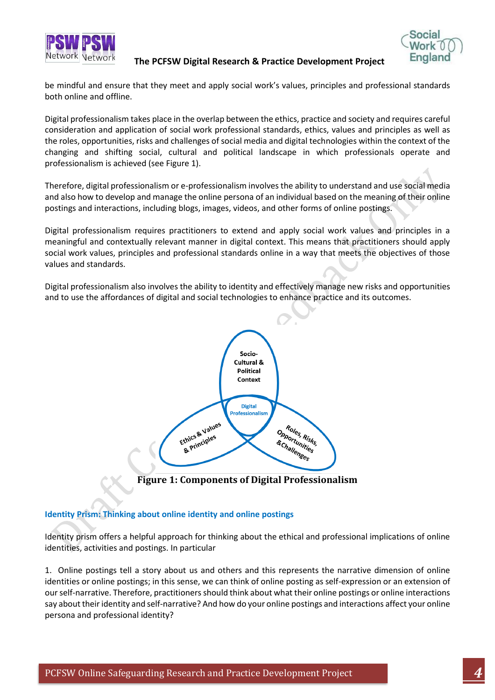



be mindful and ensure that they meet and apply social work's values, principles and professional standards both online and offline.

Digital professionalism takes place in the overlap between the ethics, practice and society and requires careful consideration and application of social work professional standards, ethics, values and principles as well as the roles, opportunities, risks and challenges of social media and digital technologies within the context of the changing and shifting social, cultural and political landscape in which professionals operate and professionalism is achieved (see Figure 1).

Therefore, digital professionalism or e-professionalism involves the ability to understand and use social media and also how to develop and manage the online persona of an individual based on the meaning of their online postings and interactions, including blogs, images, videos, and other forms of online postings.

Digital professionalism requires practitioners to extend and apply social work values and principles in a meaningful and contextually relevant manner in digital context. This means that practitioners should apply social work values, principles and professional standards online in a way that meets the objectives of those values and standards.

Digital professionalism also involves the ability to identity and effectively manage new risks and opportunities and to use the affordances of digital and social technologies to enhance practice and its outcomes.



**Figure 1: Components of Digital Professionalism**

# **Identity Prism: Thinking about online identity and online postings**

Identity prism offers a helpful approach for thinking about the ethical and professional implications of online identities, activities and postings. In particular

1. Online postings tell a story about us and others and this represents the narrative dimension of online identities or online postings; in this sense, we can think of online posting as self-expression or an extension of our self-narrative. Therefore, practitioners should think about what their online postings or online interactions say about their identity and self-narrative? And how do your online postings and interactions affect your online persona and professional identity?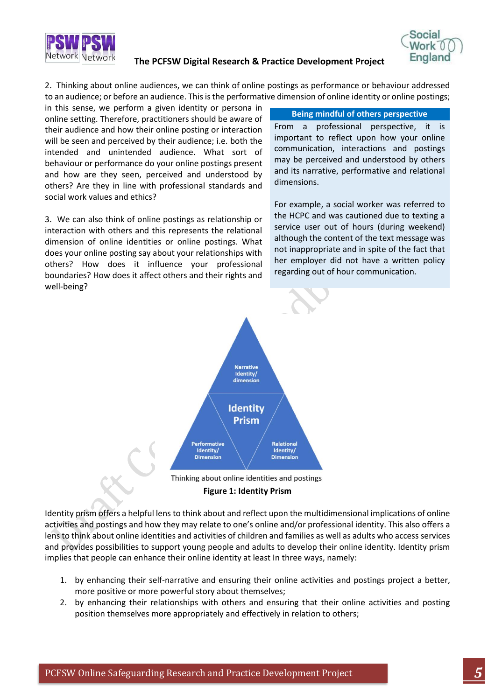



2. Thinking about online audiences, we can think of online postings as performance or behaviour addressed to an audience; or before an audience. This is the performative dimension of online identity or online postings;

in this sense, we perform a given identity or persona in online setting. Therefore, practitioners should be aware of their audience and how their online posting or interaction will be seen and perceived by their audience; i.e. both the intended and unintended audience. What sort of behaviour or performance do your online postings present and how are they seen, perceived and understood by others? Are they in line with professional standards and social work values and ethics?

3. We can also think of online postings as relationship or interaction with others and this represents the relational dimension of online identities or online postings. What does your online posting say about your relationships with others? How does it influence your professional boundaries? How does it affect others and their rights and well-being?

#### **Being mindful of others perspective**

From a professional perspective, it is important to reflect upon how your online communication, interactions and postings may be perceived and understood by others and its narrative, performative and relational dimensions.

For example, a social worker was referred to the HCPC and was cautioned due to texting a service user out of hours (during weekend) although the content of the text message was not inappropriate and in spite of the fact that her employer did not have a written policy regarding out of hour communication.



**Figure 1: Identity Prism**

Identity prism offers a helpful lens to think about and reflect upon the multidimensional implications of online activities and postings and how they may relate to one's online and/or professional identity. This also offers a lens to think about online identities and activities of children and families as well as adults who access services and provides possibilities to support young people and adults to develop their online identity. Identity prism implies that people can enhance their online identity at least In three ways, namely:

- 1. by enhancing their self-narrative and ensuring their online activities and postings project a better, more positive or more powerful story about themselves;
- 2. by enhancing their relationships with others and ensuring that their online activities and posting position themselves more appropriately and effectively in relation to others;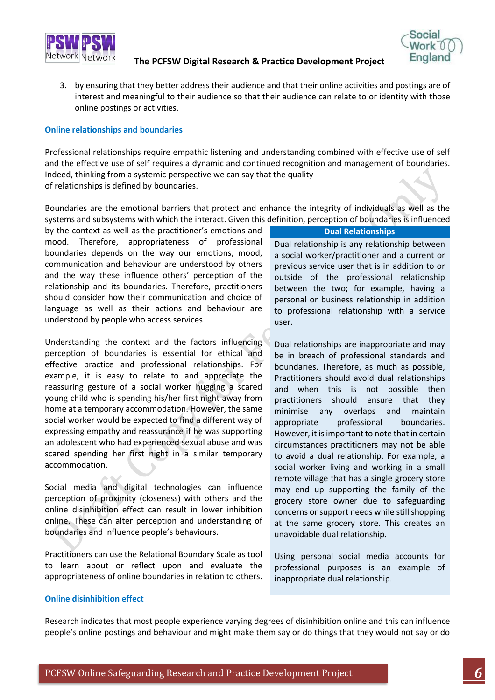

- 3. by ensuring that they better address their audience and that their online activities and postings are of
- interest and meaningful to their audience so that their audience can relate to or identity with those online postings or activities.

#### **Online relationships and boundaries**

Professional relationships require empathic listening and understanding combined with effective use of self and the effective use of self requires a dynamic and continued recognition and management of boundaries. Indeed, thinking from a systemic perspective we can say that the quality of relationships is defined by boundaries.

Boundaries are the emotional barriers that protect and enhance the integrity of individuals as well as the systems and subsystems with which the interact. Given this definition, perception of boundaries is influenced

by the context as well as the practitioner's emotions and mood. Therefore, appropriateness of professional boundaries depends on the way our emotions, mood, communication and behaviour are understood by others and the way these influence others' perception of the relationship and its boundaries. Therefore, practitioners should consider how their communication and choice of language as well as their actions and behaviour are understood by people who access services.

Understanding the context and the factors influencing perception of boundaries is essential for ethical and effective practice and professional relationships. For example, it is easy to relate to and appreciate the reassuring gesture of a social worker hugging a scared young child who is spending his/her first night away from home at a temporary accommodation. However, the same social worker would be expected to find a different way of expressing empathy and reassurance if he was supporting an adolescent who had experienced sexual abuse and was scared spending her first night in a similar temporary accommodation.

Social media and digital technologies can influence perception of proximity (closeness) with others and the online disinhibition effect can result in lower inhibition online. These can alter perception and understanding of boundaries and influence people's behaviours.

Practitioners can use the Relational Boundary Scale as tool to learn about or reflect upon and evaluate the appropriateness of online boundaries in relation to others.

#### **Dual Relationships**

Dual relationship is any relationship between a social worker/practitioner and a current or previous service user that is in addition to or outside of the professional relationship between the two; for example, having a personal or business relationship in addition to professional relationship with a service user.

Dual relationships are inappropriate and may be in breach of professional standards and boundaries. Therefore, as much as possible, Practitioners should avoid dual relationships and when this is not possible then practitioners should ensure that they minimise any overlaps and maintain appropriate professional boundaries. However, it is important to note that in certain circumstances practitioners may not be able to avoid a dual relationship. For example, a social worker living and working in a small remote village that has a single grocery store may end up supporting the family of the grocery store owner due to safeguarding concerns or support needs while still shopping at the same grocery store. This creates an unavoidable dual relationship.

Using personal social media accounts for professional purposes is an example of inappropriate dual relationship.

#### **Online disinhibition effect**

Research indicates that most people experience varying degrees of disinhibition online and this can influence people's online postings and behaviour and might make them say or do things that they would not say or do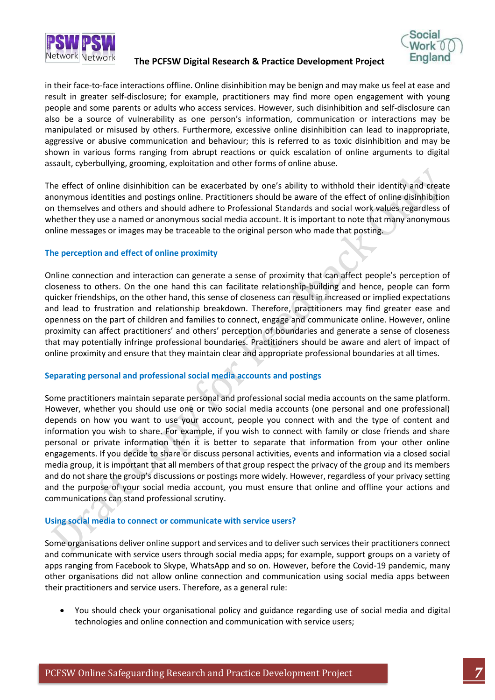



in their face-to-face interactions offline. Online disinhibition may be benign and may make us feel at ease and result in greater self-disclosure; for example, practitioners may find more open engagement with young people and some parents or adults who access services. However, such disinhibition and self-disclosure can also be a source of vulnerability as one person's information, communication or interactions may be manipulated or misused by others. Furthermore, excessive online disinhibition can lead to inappropriate, aggressive or abusive communication and behaviour; this is referred to as toxic disinhibition and may be shown in various forms ranging from abrupt reactions or quick escalation of online arguments to digital assault, cyberbullying, grooming, exploitation and other forms of online abuse.

The effect of online disinhibition can be exacerbated by one's ability to withhold their identity and create anonymous identities and postings online. Practitioners should be aware of the effect of online disinhibition on themselves and others and should adhere to Professional Standards and social work values regardless of whether they use a named or anonymous social media account. It is important to note that many anonymous online messages or images may be traceable to the original person who made that posting.

# **The perception and effect of online proximity**

Online connection and interaction can generate a sense of proximity that can affect people's perception of closeness to others. On the one hand this can facilitate relationship-building and hence, people can form quicker friendships, on the other hand, this sense of closeness can result in increased or implied expectations and lead to frustration and relationship breakdown. Therefore, practitioners may find greater ease and openness on the part of children and families to connect, engage and communicate online. However, online proximity can affect practitioners' and others' perception of boundaries and generate a sense of closeness that may potentially infringe professional boundaries. Practitioners should be aware and alert of impact of online proximity and ensure that they maintain clear and appropriate professional boundaries at all times.

# **Separating personal and professional social media accounts and postings**

Some practitioners maintain separate personal and professional social media accounts on the same platform. However, whether you should use one or two social media accounts (one personal and one professional) depends on how you want to use your account, people you connect with and the type of content and information you wish to share. For example, if you wish to connect with family or close friends and share personal or private information then it is better to separate that information from your other online engagements. If you decide to share or discuss personal activities, events and information via a closed social media group, it is important that all members of that group respect the privacy of the group and its members and do not share the group's discussions or postings more widely. However, regardless of your privacy setting and the purpose of your social media account, you must ensure that online and offline your actions and communications can stand professional scrutiny.

# **Using social media to connect or communicate with service users?**

Some organisations deliver online support and services and to deliver such services their practitioners connect and communicate with service users through social media apps; for example, support groups on a variety of apps ranging from Facebook to Skype, WhatsApp and so on. However, before the Covid-19 pandemic, many other organisations did not allow online connection and communication using social media apps between their practitioners and service users. Therefore, as a general rule:

• You should check your organisational policy and guidance regarding use of social media and digital technologies and online connection and communication with service users;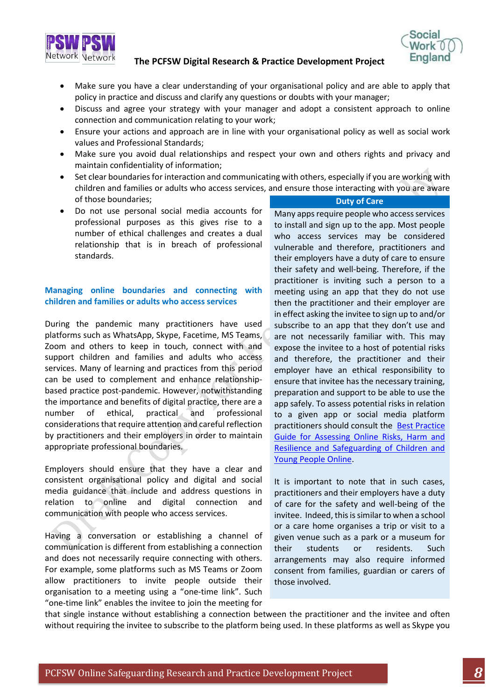

- Make sure you have a clear understanding of your organisational policy and are able to apply that policy in practice and discuss and clarify any questions or doubts with your manager;
- Discuss and agree your strategy with your manager and adopt a consistent approach to online connection and communication relating to your work;
- Ensure your actions and approach are in line with your organisational policy as well as social work values and Professional Standards;
- Make sure you avoid dual relationships and respect your own and others rights and privacy and maintain confidentiality of information;
- Set clear boundaries for interaction and communicating with others, especially if you are working with children and families or adults who access services, and ensure those interacting with you are aware of those boundaries; **Duty of Care**
- Do not use personal social media accounts for professional purposes as this gives rise to a number of ethical challenges and creates a dual relationship that is in breach of professional standards.

# **Managing online boundaries and connecting with children and families or adults who access services**

During the pandemic many practitioners have used platforms such as WhatsApp, Skype, Facetime, MS Teams, Zoom and others to keep in touch, connect with and support children and families and adults who access services. Many of learning and practices from this period can be used to complement and enhance relationshipbased practice post-pandemic. However, notwithstanding the importance and benefits of digital practice, there are a number of ethical, practical and professional considerations that require attention and careful reflection by practitioners and their employers in order to maintain appropriate professional boundaries.

Employers should ensure that they have a clear and consistent organisational policy and digital and social media guidance that include and address questions in relation to online and digital connection and communication with people who access services.

Having a conversation or establishing a channel of communication is different from establishing a connection and does not necessarily require connecting with others. For example, some platforms such as MS Teams or Zoom allow practitioners to invite people outside their organisation to a meeting using a "one-time link". Such "one-time link" enables the invitee to join the meeting for

Many apps require people who access services to install and sign up to the app. Most people who access services may be considered vulnerable and therefore, practitioners and their employers have a duty of care to ensure their safety and well-being. Therefore, if the practitioner is inviting such a person to a meeting using an app that they do not use then the practitioner and their employer are in effect asking the invitee to sign up to and/or subscribe to an app that they don't use and are not necessarily familiar with. This may expose the invitee to a host of potential risks and therefore, the practitioner and their employer have an ethical responsibility to ensure that invitee has the necessary training, preparation and support to be able to use the app safely. To assess potential risks in relation to a given app or social media platform practitioners should consult the [Best Practice](https://esafeguarding.org/publications/PSW=and-SWE-Best-Practice-Guidance-for-Assessing-Online-Risks,-Harm-and-Resilience-and-Safeguarding-Children-and-Young-People-Online-2020-05-26.pdf)  [Guide for Assessing Online Risks, Harm and](https://esafeguarding.org/publications/PSW=and-SWE-Best-Practice-Guidance-for-Assessing-Online-Risks,-Harm-and-Resilience-and-Safeguarding-Children-and-Young-People-Online-2020-05-26.pdf)  [Resilience and Safeguarding of Children and](https://esafeguarding.org/publications/PSW=and-SWE-Best-Practice-Guidance-for-Assessing-Online-Risks,-Harm-and-Resilience-and-Safeguarding-Children-and-Young-People-Online-2020-05-26.pdf)  [Young People Online.](https://esafeguarding.org/publications/PSW=and-SWE-Best-Practice-Guidance-for-Assessing-Online-Risks,-Harm-and-Resilience-and-Safeguarding-Children-and-Young-People-Online-2020-05-26.pdf)

It is important to note that in such cases, practitioners and their employers have a duty of care for the safety and well-being of the invitee. Indeed, this is similar to when a school or a care home organises a trip or visit to a given venue such as a park or a museum for their students or residents. Such arrangements may also require informed consent from families, guardian or carers of those involved.

that single instance without establishing a connection between the practitioner and the invitee and often without requiring the invitee to subscribe to the platform being used. In these platforms as well as Skype you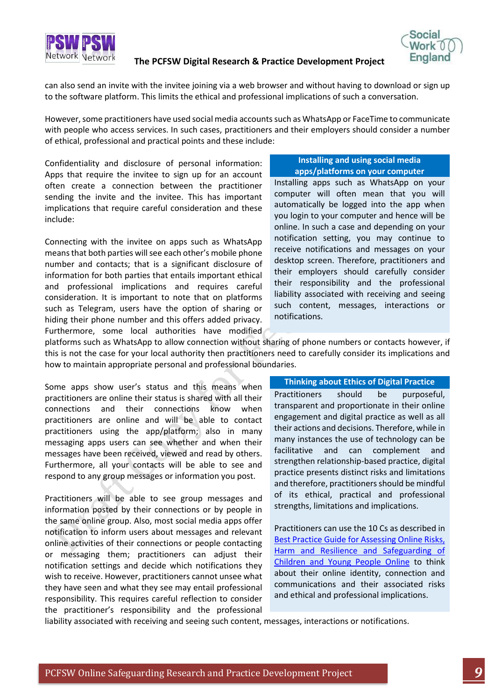

can also send an invite with the invitee joining via a web browser and without having to download or sign up to the software platform. This limits the ethical and professional implications of such a conversation.

However, some practitioners have used social media accounts such as WhatsApp or FaceTime to communicate with people who access services. In such cases, practitioners and their employers should consider a number of ethical, professional and practical points and these include:

Confidentiality and disclosure of personal information: Apps that require the invitee to sign up for an account often create a connection between the practitioner sending the invite and the invitee. This has important implications that require careful consideration and these include:

Connecting with the invitee on apps such as WhatsApp means that both parties will see each other's mobile phone number and contacts; that is a significant disclosure of information for both parties that entails important ethical and professional implications and requires careful consideration. It is important to note that on platforms such as Telegram, users have the option of sharing or hiding their phone number and this offers added privacy. Furthermore, some local authorities have modified

#### **Installing and using social media apps/platforms on your computer**

Installing apps such as WhatsApp on your computer will often mean that you will automatically be logged into the app when you login to your computer and hence will be online. In such a case and depending on your notification setting, you may continue to receive notifications and messages on your desktop screen. Therefore, practitioners and their employers should carefully consider their responsibility and the professional liability associated with receiving and seeing such content, messages, interactions or notifications.

platforms such as WhatsApp to allow connection without sharing of phone numbers or contacts however, if this is not the case for your local authority then practitioners need to carefully consider its implications and how to maintain appropriate personal and professional boundaries.

Some apps show user's status and this means when practitioners are online their status is shared with all their connections and their connections know when practitioners are online and will be able to contact practitioners using the app/platform; also in many messaging apps users can see whether and when their messages have been received, viewed and read by others. Furthermore, all your contacts will be able to see and respond to any group messages or information you post.

Practitioners will be able to see group messages and information posted by their connections or by people in the same online group. Also, most social media apps offer notification to inform users about messages and relevant online activities of their connections or people contacting or messaging them; practitioners can adjust their notification settings and decide which notifications they wish to receive. However, practitioners cannot unsee what they have seen and what they see may entail professional responsibility. This requires careful reflection to consider the practitioner's responsibility and the professional

#### **Thinking about Ethics of Digital Practice**

Practitioners should be purposeful, transparent and proportionate in their online engagement and digital practice as well as all their actions and decisions. Therefore, while in many instances the use of technology can be facilitative and can complement and strengthen relationship-based practice, digital practice presents distinct risks and limitations and therefore, practitioners should be mindful of its ethical, practical and professional strengths, limitations and implications.

Practitioners can use the 10 Cs as described in [Best Practice Guide for Assessing Online Risks,](https://esafeguarding.org/publications/PSW=and-SWE-Best-Practice-Guidance-for-Assessing-Online-Risks,-Harm-and-Resilience-and-Safeguarding-Children-and-Young-People-Online-2020-05-26.pdf)  [Harm and Resilience and Safeguarding of](https://esafeguarding.org/publications/PSW=and-SWE-Best-Practice-Guidance-for-Assessing-Online-Risks,-Harm-and-Resilience-and-Safeguarding-Children-and-Young-People-Online-2020-05-26.pdf)  [Children and Young People Online](https://esafeguarding.org/publications/PSW=and-SWE-Best-Practice-Guidance-for-Assessing-Online-Risks,-Harm-and-Resilience-and-Safeguarding-Children-and-Young-People-Online-2020-05-26.pdf) to think about their online identity, connection and communications and their associated risks and ethical and professional implications.

liability associated with receiving and seeing such content, messages, interactions or notifications.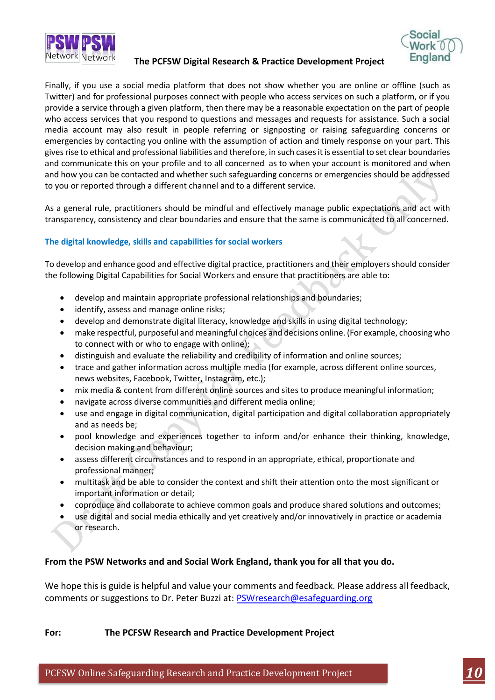



Finally, if you use a social media platform that does not show whether you are online or offline (such as Twitter) and for professional purposes connect with people who access services on such a platform, or if you provide a service through a given platform, then there may be a reasonable expectation on the part of people who access services that you respond to questions and messages and requests for assistance. Such a social media account may also result in people referring or signposting or raising safeguarding concerns or emergencies by contacting you online with the assumption of action and timely response on your part. This gives rise to ethical and professional liabilities and therefore, in such cases it is essential to set clear boundaries and communicate this on your profile and to all concerned as to when your account is monitored and when and how you can be contacted and whether such safeguarding concerns or emergencies should be addressed to you or reported through a different channel and to a different service.

As a general rule, practitioners should be mindful and effectively manage public expectations and act with transparency, consistency and clear boundaries and ensure that the same is communicated to all concerned.

# **The digital knowledge, skills and capabilities for social workers**

To develop and enhance good and effective digital practice, practitioners and their employers should consider the following Digital Capabilities for Social Workers and ensure that practitioners are able to:

- develop and maintain appropriate professional relationships and boundaries;
- identify, assess and manage online risks;
- develop and demonstrate digital literacy, knowledge and skills in using digital technology;
- make respectful, purposeful and meaningful choices and decisions online. (For example, choosing who to connect with or who to engage with online);
- distinguish and evaluate the reliability and credibility of information and online sources;
- trace and gather information across multiple media (for example, across different online sources, news websites, Facebook, Twitter, Instagram, etc.);
- mix media & content from different online sources and sites to produce meaningful information;
- navigate across diverse communities and different media online;
- use and engage in digital communication, digital participation and digital collaboration appropriately and as needs be;
- pool knowledge and experiences together to inform and/or enhance their thinking, knowledge, decision making and behaviour;
- assess different circumstances and to respond in an appropriate, ethical, proportionate and professional manner;
- multitask and be able to consider the context and shift their attention onto the most significant or important information or detail;
- coproduce and collaborate to achieve common goals and produce shared solutions and outcomes;
- use digital and social media ethically and yet creatively and/or innovatively in practice or academia or research.

# **From the PSW Networks and and Social Work England, thank you for all that you do.**

We hope this is guide is helpful and value your comments and feedback. Please address all feedback, comments or suggestions to Dr. Peter Buzzi at: **PSWresearch@esafeguarding.org** 

**For: The PCFSW Research and Practice Development Project**